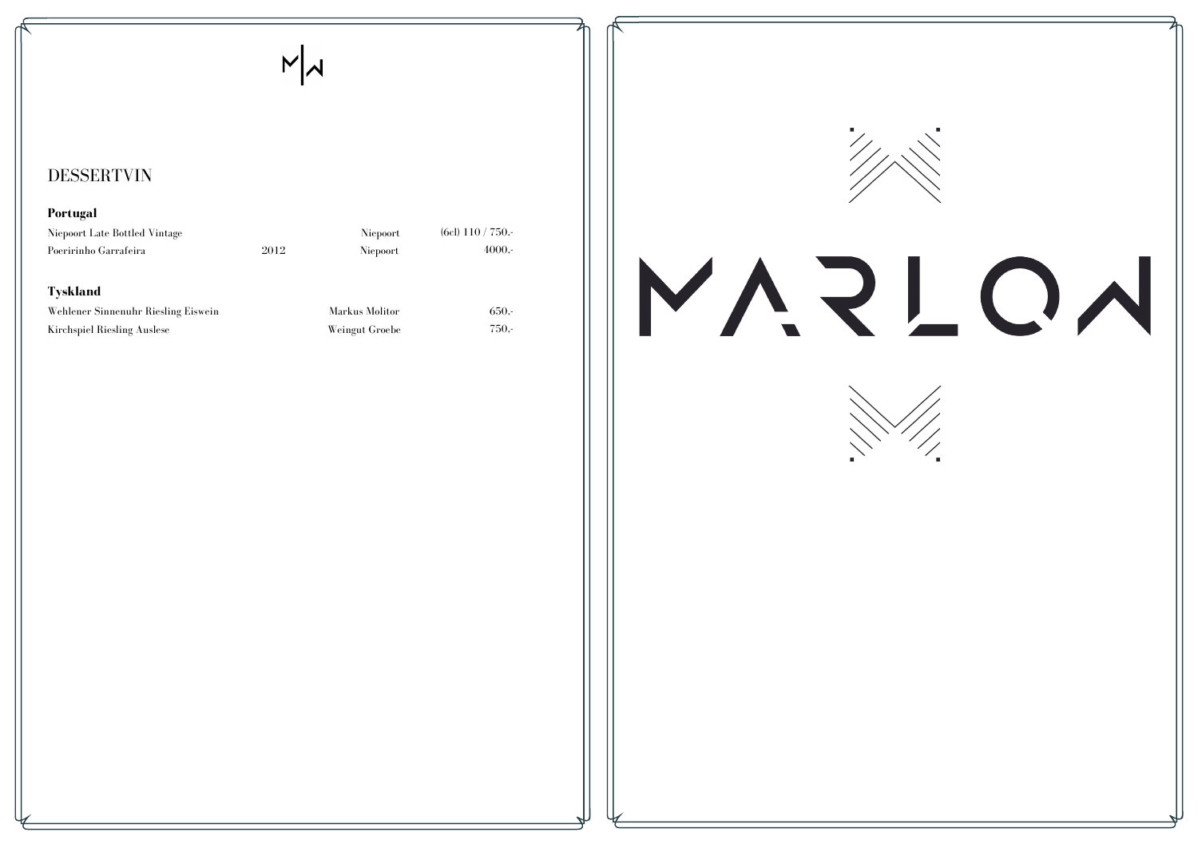#### **Portugal**

| Niepoort Late Bottled Vintage |      | <b>Niepoort</b> | $(6c)$ 110 / 750,- |
|-------------------------------|------|-----------------|--------------------|
| Poeririnho Garrafeira         | 2012 | <b>Niepoort</b> | 4000.              |
| <b>Tyskland</b>               |      |                 |                    |

 $\frac{1}{2}$ 

Wehlener Sinnenuhr Riesling Eiswein Markus Molitor

Kirchspiel Riesling Auslese Weingut Groebe

650,- 750,-





## DESSERTVIN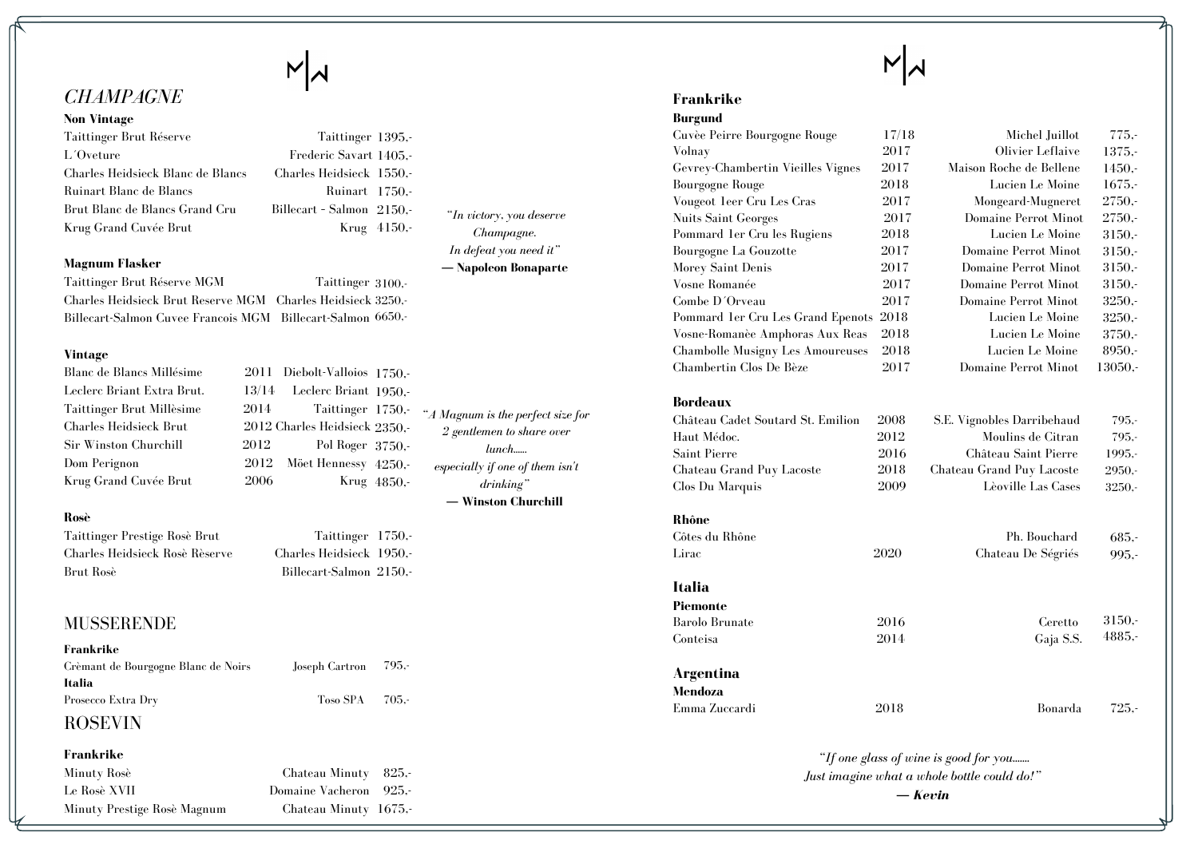#### **Magnum Flasker**

Taittinger Brut Réserve MGM Charles Heidsieck Brut Reserve MGM Charles Heidsieck 3250,- Billecart-Salmon Cuvee Francois MGM Billecart-Salmon 6650,- Taittinger 3100.-

#### **Vintage**

Blanc de Blancs Millésime Leclerc Briant Extra Brut. 13/14 Taittinger Brut Millèsime 2014 Charles Heidsieck Brut 2012 Charles Heidsieck 2350,- Sir Winston Churchill 2012 Dom Perignon 2012 Möet Hennessy 4250,- Krug Grand Cuvée Brut 2006

| Frankrike                           |                           |  |
|-------------------------------------|---------------------------|--|
| Crèmant de Bourgogne Blanc de Noirs | Joseph Cartron 795,-      |  |
| Italia                              |                           |  |
| Prosecco Extra Dry                  | $Toso$ SPA $\qquad$ 705,- |  |
| D Q Q D T T T J T                   |                           |  |

Charles Heidsieck 1550,-Ruinart 1750,-Billecart - Salmon 2150,-4150,-

2011 Diebolt-Valloios 1750,-

Leclerc Briant 1950,-

Taittinger 1750,-

Pol Roger 3750,-

Taittinger 1395,-

# $N\vert\lambda$

Minuty Rosè Chateau Minuty 825,- Le Rosè XVII Domaine Vacheron 925,- Minuty Prestige Rosè Magnum

Chateau Minuty 1675,-

#### **Rosè**

Taittinger Prestige Rosè Brut Charles Heidsieck Rosè Rèserve Brut Rosè Billecart-Salmon 2150,-

# *CHAMPAGNE*

**Non Vintage** Taittinger Brut Réserve L'Oveture Frederic Savart 1405,-Charles Heidsieck Blanc de Blancs Charles Heidsieck Ruinart Blanc de Blancs Brut Blanc de Blancs Grand Cru Krug Grand Cuvée Brut

## MUSSERENDE

4850,-

Taittinger 1750,-Charles Heidsieck 1950,-

*"A Magnum is the perfect size for*

*2 gentlemen to share over lunch...... especially if one of them isn't drinking"*

― **Winston Churchill**

*"In victory, you deserve Champagne. In defeat you need it"*

― **Napoleon Bonapart[e](https://www.goodreads.com/work/quotes/2459084)**

#### **Frankrike**

## ROSEVIN

## **Frankrike**

**Burgund**

| Cuvèe Peirre Bourgogne Rouge            | 17/18 | Michel Juillot              |
|-----------------------------------------|-------|-----------------------------|
| Volnay                                  | 2017  | Olivier Leflaive            |
| Gevrey-Chambertin Vieilles Vignes       | 2017  | Maison Roche de Bellene     |
| Bourgogne Rouge                         | 2018  | Lucien Le Moine             |
| Vougeot 1eer Cru Les Cras               | 2017  | Mongeard-Mugneret           |
| <b>Nuits Saint Georges</b>              | 2017  | <b>Domaine Perrot Minot</b> |
| Pommard 1er Cru les Rugiens             | 2018  | Lucien Le Moine             |
| Bourgogne La Gouzotte                   | 2017  | <b>Domaine Perrot Minot</b> |
| <b>Morey Saint Denis</b>                | 2017  | <b>Domaine Perrot Minot</b> |
| <b>Vosne Romanée</b>                    | 2017  | <b>Domaine Perrot Minot</b> |
| Combe D'Orveau                          | 2017  | <b>Domaine Perrot Minot</b> |
| Pommard 1er Cru Les Grand Epenots       | 2018  | Lucien Le Moine             |
| Vosne-Romanèe Amphoras Aux Reas         | 2018  | Lucien Le Moine             |
| <b>Chambolle Musigny Les Amoureuses</b> | 2018  | Lucien Le Moine             |
| <b>Chambertin Clos De Bèze</b>          | 2017  | <b>Domaine Perrot Minot</b> |

#### **Bordeaux**

| 2008 | S.E. Vignobles Darribehaud |
|------|----------------------------|
| 2012 | Moulins de Citran          |
| 2016 | Château Saint Pierre       |
| 2018 | Chateau Grand Puy Lacoste  |
| 2009 | Lèoville Las Cases         |
|      |                            |
|      | Ph. Bouchard               |
| 2020 | Chateau De Ségriés         |
|      |                            |
|      |                            |
| 2016 | Ceretto                    |
| 2014 | Gaja S.S.                  |
|      |                            |
|      |                            |
|      |                            |

Emma Zuccardi 2018

*"If one glass of wine Just imagine what a wh* 

| Michel Juillot                   | $775. -$   |
|----------------------------------|------------|
| <b>Olivier Leflaive</b>          | 1375,-     |
| Maison Roche de Bellene          | $1450, -$  |
| Lucien Le Moine                  | $1675, -$  |
| Mongeard-Mugneret                | $2750, -$  |
| <b>Domaine Perrot Minot</b>      | 2750,-     |
| Lucien Le Moine                  | $3150, -$  |
| <b>Domaine Perrot Minot</b>      | $3150, -$  |
| <b>Domaine Perrot Minot</b>      | $3150, -$  |
| <b>Domaine Perrot Minot</b>      | $3150, -$  |
| <b>Domaine Perrot Minot</b>      | $3250, -$  |
| Lucien Le Moine                  | $3250, -$  |
| Lucien Le Moine                  | $3750, -$  |
| <b>Lucien Le Moine</b>           | 8950,-     |
| <b>Domaine Perrot Minot</b>      | $13050, -$ |
|                                  |            |
|                                  |            |
| S.E. Vignobles Darribehaud       | $795, -$   |
| Moulins de Citran                | $795, -$   |
| Château Saint Pierre             | 1995,-     |
| <b>Chateau Grand Puy Lacoste</b> | 2950,-     |
| <b>Lèoville Las Cases</b>        | $3250, -$  |
|                                  |            |
|                                  |            |
| Ph. Bouchard                     | 685,-      |
| Chateau De Ségriés               | 995,-      |
|                                  |            |
|                                  |            |
|                                  |            |
| Ceretto                          | 3150.      |
| Gaja S.S.                        | 4885,-     |
|                                  |            |
|                                  |            |
|                                  |            |
| <b>Bonarda</b>                   | 725.       |
|                                  |            |
|                                  |            |
| <i>is good for you</i>           |            |
| ole bottle could do!"            |            |

― *Kevin*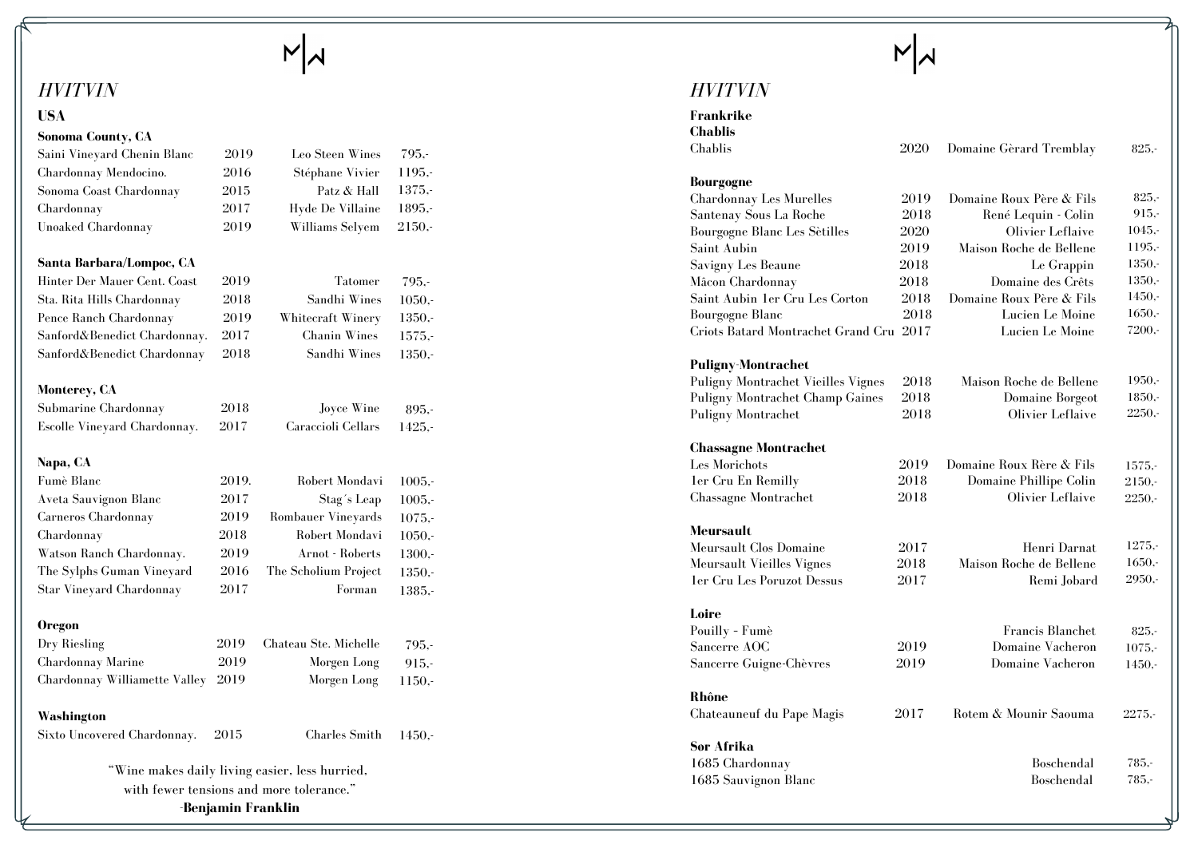### **U S A**

#### Sonoma County, CA

| Saini Vineyard Chenin Blanc | 2019 |
|-----------------------------|------|
| Chardonnay Mendocino.       | 2016 |
| Sonoma Coast Chardonnay     | 2015 |
| Chardonnay                  | 2017 |
| Unoaked Chardonnay          | 2019 |

#### Santa Barbara/Lompoc, CA

| Hinter Der Mauer Cent. Coast | 2019 | <b>Tatomer</b>      |
|------------------------------|------|---------------------|
| Sta. Rita Hills Chardonnay   | 2018 | Sandhi Wines        |
| Pence Ranch Chardonnay       | 2019 | Whitecraft Winery   |
| Sanford&Benedict Chardonnay. | 2017 | <b>Chanin Wines</b> |
| Sanford&Benedict Chardonnay  | 2018 | Sandhi Wines        |
|                              |      |                     |

#### **Monterey, CA**

| Submarine Chardonnay         | 2018 | Joyce Wine         |
|------------------------------|------|--------------------|
| Escolle Vineyard Chardonnay. | 2017 | Caraccioli Cellars |

#### **N a p a , C A**

| Fumè Blanc                      | 2019. | Robert Mondavi            | 1005.     |
|---------------------------------|-------|---------------------------|-----------|
| Aveta Sauvignon Blanc           | 2017  | Stag's Leap               | 1005.     |
| Carneros Chardonnay             | 2019  | <b>Rombauer Vineyards</b> | $1075, -$ |
| Chardonnay                      | 2018  | Robert Mondavi            | $1050, -$ |
| Watson Ranch Chardonnay.        | 2019  | Arnot - Roberts           | 1300.     |
| The Sylphs Guman Vineyard       | 2016  | The Scholium Project      | 1350.     |
| <b>Star Vineyard Chardonnay</b> | 2017  | Forman                    | $1385. -$ |

#### Oregon

| Dry Riesling                       | 2019 | Chateau Ste. Michelle | $795 -$ |
|------------------------------------|------|-----------------------|---------|
| <b>Chardonnay Marine</b>           | 2019 | Morgen Long           | 915.    |
| Chardonnay Williamette Valley 2019 |      | Morgen Long $1150$ .  |         |

#### **Washington**

|  |  | Sixto Uncovered Chardonnay. | 2015 |
|--|--|-----------------------------|------|
|--|--|-----------------------------|------|

Charles Smith 1450,-

"Wine makes daily living easier, less hurried, with fewer tensions and more tolerance."

# *H VI T VIN*

8 9 5 , - 1 4 2 5 , -

# $N$

# *H VI T VIN*

| Frankrike |  |
|-----------|--|
| Chablis   |  |
| Chablis   |  |

#### **B o u r g o g n e**

#### Puligny-Montrachet

| <b>Puligny Montrachet Vieilles Vignes</b> | $\frac{1}{2}$ |
|-------------------------------------------|---------------|
| <b>Puligny Montrachet Champ Gaines</b>    | $\tilde{z}$   |
| <b>Puligny Montrachet</b>                 |               |
|                                           |               |

#### **Chassagne Montrachet**

| 2020 | Domaine Gèrard Tremblay  | 825.      |
|------|--------------------------|-----------|
| 2019 | Domaine Roux Père & Fils | $825, -$  |
| 2018 | René Lequin - Colin      | 915,-     |
| 2020 | Olivier Leflaive         | $1045, -$ |
| 2019 | Maison Roche de Bellene  | 1195.     |
| 2018 | Le Grappin               | $1350, -$ |
| 2018 | Domaine des Crêts        | $1350, -$ |
| 2018 | Domaine Roux Père & Fils | $1450, -$ |
| 2018 | Lucien Le Moine          | $1650, -$ |
| 2017 | <b>Lucien Le Moine</b>   | 7200,-    |
|      |                          |           |
| 2018 | Maison Roche de Bellene  | $1950, -$ |
| 2018 | Domaine Borgeot          | $1850, -$ |
| 2018 | <b>Olivier Leflaive</b>  | $2250, -$ |
|      |                          |           |
| 2019 | Domaine Roux Rère & Fils | $1575, -$ |
| 2018 | Domaine Phillipe Colin   | $2150, -$ |
| 2018 | Olivier Leflaive         | $2250, -$ |
|      |                          |           |
| 2017 | Henri Darnat             | $1275, -$ |
| 2018 | Maison Roche de Bellene  | $1650, -$ |
| 2017 | Remi Jobard              | 2950,-    |
|      |                          |           |
|      | <b>Francis Blanchet</b>  | $825 -$   |
| 2019 | Domaine Vacheron         | $1075, -$ |
| 2019 | Domaine Vacheron         | $1450, -$ |
|      |                          |           |
| 2017 | Rotem & Mounir Saouma    | $2275, -$ |
|      | Boschendal               | $785, -$  |
|      | Boschendal               | $785, -$  |
|      |                          |           |

| Les Morichots               |  |
|-----------------------------|--|
| ler Cru En Remilly          |  |
| <b>Chassagne Montrachet</b> |  |

#### **Meursault**

| Meursault Clos Domaine     |
|----------------------------|
| Meursault Vieilles Vignes  |
| ler Cru Les Poruzot Dessus |

#### Loire

| Pouilly - Fumè                 |  |
|--------------------------------|--|
| Sancerre AOC                   |  |
| <b>Sancerre Guigne-Chèvres</b> |  |

Chateauneuf du Pape Magis

#### **R h ô n e**

**Sor A frika** 1685 Chardonnay 1685 Sauvignon Blanc

 $N$ 

Leo Steen Wines

Stéphane Vivier

Hyde De Villaine

Williams Selyem

Patz & Hall

**- B e nj a m i n F r a n k l i n**